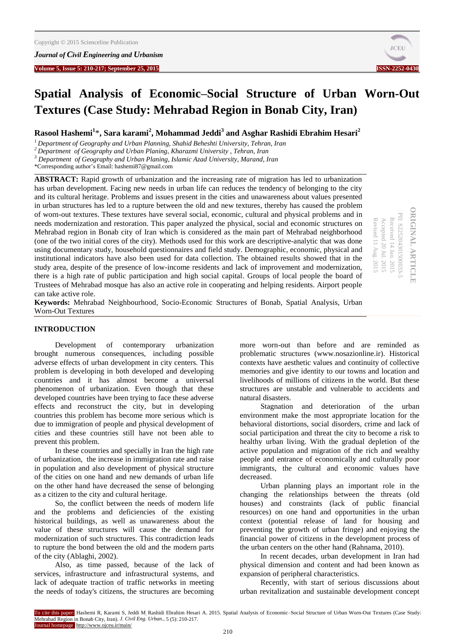

# **Spatial Analysis of Economic–Social Structure of Urban Worn-Out Textures (Case Study: Mehrabad Region in Bonab City, Iran)**

**Rasool Hashemi<sup>1</sup>** \***, Sara karami<sup>2</sup> , Mohammad Jeddi<sup>3</sup> and Asghar Rashidi Ebrahim Hesari<sup>2</sup>**

*<sup>1</sup> Department of Geography and Urban Planning, Shahid Beheshti University, Tehran, Iran*

*<sup>2</sup> Department of Geography and Urban Planing, Kharazmi University , Tehran, Iran*

*<sup>3</sup> Department of Geography and Urban Planing, Islamic Azad University, Marand, Iran*

\*Corresponding author's Email: hashemi87@gmail.com

**ABSTRACT:** Rapid growth of urbanization and the increasing rate of migration has led to urbanization has urban development. Facing new needs in urban life can reduces the tendency of belonging to the city and its cultural heritage. Problems and issues present in the cities and unawareness about values presented in urban structures has led to a rupture between the old and new textures, thereby has caused the problem of worn-out textures. These textures have several social, economic, cultural and physical problems and in needs modernization and restoration. This paper analyzed the physical, social and economic structures on Mehrabad region in Bonab city of Iran which is considered as the main part of Mehrabad neighborhood (one of the two initial cores of the city). Methods used for this work are descriptive-analytic that was done using documentary study, household questionnaires and field study. Demographic, economic, physical and institutional indicators have also been used for data collection. The obtained results showed that in the study area, despite of the presence of low-income residents and lack of improvement and modernization, there is a high rate of public participation and high social capital. Groups of local people the board of Trustees of Mehrabad mosque has also an active role in cooperating and helping residents. Airport people can take active role.

**ORIGINAL ARTICLE ORIGINAL ARTICLE** PII: S225204301500033-PII: S225204301500033-5 Received 14 Jan. 2015 Accepted 20 Jul. 2015 Revised 11 Aug. 2015 Revised 11 Aug. Accepted 20 Jul. 2015 Received 14 Jan. 2015

**Keywords:** Mehrabad Neighbourhood, Socio-Economic Structures of Bonab, Spatial Analysis, Urban Worn-Out Textures

# **INTRODUCTION**

Development of contemporary urbanization brought numerous consequences, including possible adverse effects of urban development in city centers. This problem is developing in both developed and developing countries and it has almost become a universal phenomenon of urbanization. Even though that these developed countries have been trying to face these adverse effects and reconstruct the city, but in developing countries this problem has become more serious which is due to immigration of people and physical development of cities and these countries still have not been able to prevent this problem.

In these countries and specially in Iran the high rate of urbanization, the increase in immigration rate and raise in population and also development of physical structure of the cities on one hand and new demands of urban life on the other hand have decreased the sense of belonging as a citizen to the city and cultural heritage.

So, the conflict between the needs of modern life and the problems and deficiencies of the existing historical buildings, as well as unawareness about the value of these structures will cause the demand for modernization of such structures. This contradiction leads to rupture the bond between the old and the modern parts of the city (Ablaghi, 2002).

Also, as time passed, because of the lack of services, infrastructure and infrastructural systems, and lack of adequate traction of traffic networks in meeting the needs of today's citizens, the structures are becoming

more worn-out than before and are reminded as problematic structures (www.nosazionline.ir). Historical contexts have aesthetic values and continuity of collective memories and give identity to our towns and location and livelihoods of millions of citizens in the world. But these structures are unstable and vulnerable to accidents and natural disasters.

Stagnation and deterioration of the urban environment make the most appropriate location for the behavioral distortions, social disorders, crime and lack of social participation and threat the city to become a risk to healthy urban living. With the gradual depletion of the active population and migration of the rich and wealthy people and entrance of economically and culturally poor immigrants, the cultural and economic values have decreased.

Urban planning plays an important role in the changing the relationships between the threats (old houses) and constraints (lack of public financial resources) on one hand and opportunities in the urban context (potential release of land for housing and preventing the growth of urban fringe) and enjoying the financial power of citizens in the development process of the urban centers on the other hand (Rahnama, 2010).

In recent decades, urban development in Iran had physical dimension and content and had been known as expansion of peripheral characteristics.

Recently, with start of serious discussions about urban revitalization and sustainable development concept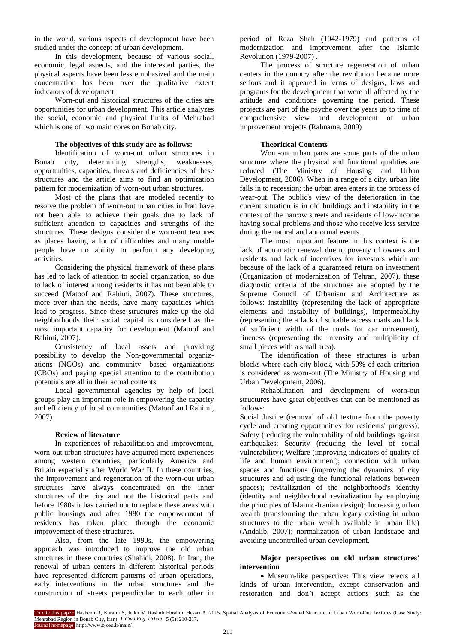in the world, various aspects of development have been studied under the concept of urban development.

In this development, because of various social, economic, legal aspects, and the interested parties, the physical aspects have been less emphasized and the main concentration has been over the qualitative extent indicators of development.

Worn-out and historical structures of the cities are opportunities for urban development. This article analyzes the social, economic and physical limits of Mehrabad which is one of two main cores on Bonab city.

# **The objectives of this study are as follows:**

Identification of worn-out urban structures in Bonab city, determining strengths, weaknesses, opportunities, capacities, threats and deficiencies of these structures and the article aims to find an optimization pattern for modernization of worn-out urban structures.

Most of the plans that are modeled recently to resolve the problem of worn-out urban cities in Iran have not been able to achieve their goals due to lack of sufficient attention to capacities and strengths of the structures. These designs consider the worn-out textures as places having a lot of difficulties and many unable people have no ability to perform any developing activities.

Considering the physical framework of these plans has led to lack of attention to social organization, so due to lack of interest among residents it has not been able to succeed (Matoof and Rahimi, 2007). These structures, more over than the needs, have many capacities which lead to progress. Since these structures make up the old neighborhoods their social capital is considered as the most important capacity for development (Matoof and Rahimi, 2007).

Consistency of local assets and providing possibility to develop the Non-governmental organizations (NGOs) and community- based organizations (CBOs) and paying special attention to the contribution potentials are all in their actual contents.

Local governmental agencies by help of local groups play an important role in empowering the capacity and efficiency of local communities (Matoof and Rahimi, 2007).

#### **Review of literature**

In experiences of rehabilitation and improvement, worn-out urban structures have acquired more experiences among western countries, particularly America and Britain especially after World War II. In these countries, the improvement and regeneration of the worn-out urban structures have always concentrated on the inner structures of the city and not the historical parts and before 1980s it has carried out to replace these areas with public housings and after 1980 the empowerment of residents has taken place through the economic improvement of these structures.

Also, from the late 1990s, the empowering approach was introduced to improve the old urban structures in these countries (Shahidi, 2008). In Iran, the renewal of urban centers in different historical periods have represented different patterns of urban operations, early interventions in the urban structures and the construction of streets perpendicular to each other in

period of Reza Shah (1942-1979) and patterns of modernization and improvement after the Islamic Revolution (1979-2007) .

The process of structure regeneration of urban centers in the country after the revolution became more serious and it appeared in terms of designs, laws and programs for the development that were all affected by the attitude and conditions governing the period. These projects are part of the psyche over the years up to time of comprehensive view and development of urban improvement projects (Rahnama, 2009)

# **Theoritical Contents**

Worn-out urban parts are some parts of the urban structure where the physical and functional qualities are reduced (The Ministry of Housing and Urban Development, 2006). When in a range of a city, urban life falls in to recession; the urban area enters in the process of wear-out. The public's view of the deterioration in the current situation is in old buildings and instability in the context of the narrow streets and residents of low-income having social problems and those who receive less service during the natural and abnormal events.

The most important feature in this context is the lack of automatic renewal due to poverty of owners and residents and lack of incentives for investors which are because of the lack of a guaranteed return on investment (Organization of modernization of Tehran, 2007). these diagnostic criteria of the structures are adopted by the Supreme Council of Urbanism and Architecture as follows: instability (representing the lack of appropriate elements and instability of buildings), impermeability (representing the a lack of suitable access roads and lack of sufficient width of the roads for car movement), fineness (representing the intensity and multiplicity of small pieces with a small area).

The identification of these structures is urban blocks where each city block, with 50% of each criterion is considered as worn-out (The Ministry of Housing and Urban Development, 2006).

Rehabilitation and development of worn-out structures have great objectives that can be mentioned as follows:

Social Justice (removal of old texture from the poverty cycle and creating opportunities for residents' progress); Safety (reducing the vulnerability of old buildings against earthquakes; Security (reducing the level of social vulnerability); Welfare (improving indicators of quality of life and human environment); connection with urban spaces and functions (improving the dynamics of city structures and adjusting the functional relations between spaces); revitalization of the neighborhood's identity (identity and neighborhood revitalization by employing the principles of Islamic-Iranian design); Increasing urban wealth (transforming the urban legacy existing in urban structures to the urban wealth available in urban life) (Andalib, 2007); normalization of urban landscape and avoiding uncontrolled urban development.

# **Major perspectives on old urban structures' intervention**

 Museum-like perspective: This view rejects all kinds of urban intervention, except conservation and restoration and don't accept actions such as the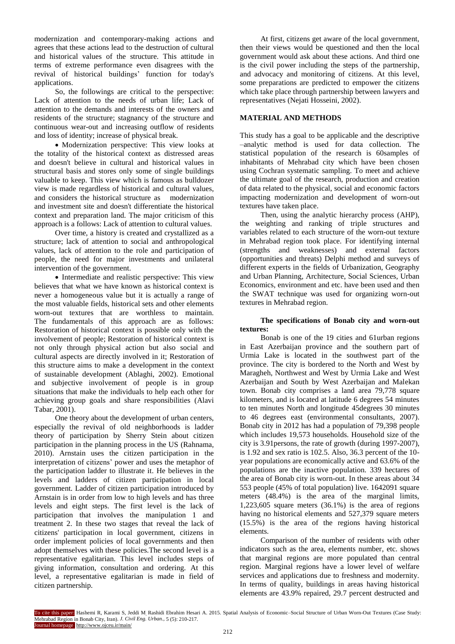modernization and contemporary-making actions and agrees that these actions lead to the destruction of cultural and historical values of the structure. This attitude in terms of extreme performance even disagrees with the revival of historical buildings' function for today's applications.

So, the followings are critical to the perspective: Lack of attention to the needs of urban life; Lack of attention to the demands and interests of the owners and residents of the structure; stagnancy of the structure and continuous wear-out and increasing outflow of residents and loss of identity; increase of physical break.

 Modernization perspective: This view looks at the totality of the historical context as distressed areas and doesn't believe in cultural and historical values in structural basis and stores only some of single buildings valuable to keep. This view which is famous as bulldozer view is made regardless of historical and cultural values, and considers the historical structure as modernization and investment site and doesn't differentiate the historical context and preparation land. The major criticism of this approach is a follows: Lack of attention to cultural values.

Over time, a history is created and crystallized as a structure; lack of attention to social and anthropological values, lack of attention to the role and participation of people, the need for major investments and unilateral intervention of the government.

• Intermediate and realistic perspective: This view believes that what we have known as historical context is never a homogeneous value but it is actually a range of the most valuable fields, historical sets and other elements worn-out textures that are worthless to maintain. The fundamentals of this approach are as follows: Restoration of historical context is possible only with the involvement of people; Restoration of historical context is not only through physical action but also social and cultural aspects are directly involved in it; Restoration of this structure aims to make a development in the context of sustainable development (Ablaghi, 2002). Emotional and subjective involvement of people is in group situations that make the individuals to help each other for achieving group goals and share responsibilities (Alavi Tabar, 2001).

One theory about the development of urban centers, especially the revival of old neighborhoods is ladder theory of participation by Sherry Stein about citizen participation in the planning process in the US (Rahnama, 2010). Arnstain uses the citizen participation in the interpretation of citizens' power and uses the metaphor of the participation ladder to illustrate it. He believes in the levels and ladders of citizen participation in local government. Ladder of citizen participation introduced by Arnstain is in order from low to high levels and has three levels and eight steps. The first level is the lack of participation that involves the manipulation 1 and treatment 2. In these two stages that reveal the lack of citizens' participation in local government, citizens in order implement policies of local governments and then adopt themselves with these policies.The second level is a representative egalitarian. This level includes steps of giving information, consultation and ordering. At this level, a representative egalitarian is made in field of citizen partnership.

At first, citizens get aware of the local government, then their views would be questioned and then the local government would ask about these actions. And third one is the civil power including the steps of the partnership, and advocacy and monitoring of citizens. At this level, some preparations are predicted to empower the citizens which take place through partnership between lawyers and representatives (Nejati Hosseini, 2002).

# **MATERIAL AND METHODS**

This study has a goal to be applicable and the descriptive –analytic method is used for data collection. The statistical population of the research is 60samples of inhabitants of Mehrabad city which have been chosen using Cochran systematic sampling. To meet and achieve the ultimate goal of the research, production and creation of data related to the physical, social and economic factors impacting modernization and development of worn-out textures have taken place.

Then, using the analytic hierarchy process (AHP), the weighting and ranking of triple structures and variables related to each structure of the worn-out texture in Mehrabad region took place. For identifying internal (strengths and weaknesses) and external factors (opportunities and threats) Delphi method and surveys of different experts in the fields of Urbanization, Geography and Urban Planning, Architecture, Social Sciences, Urban Economics, environment and etc. have been used and then the SWAT technique was used for organizing worn-out textures in Mehrabad region.

# **The specifications of Bonab city and worn-out textures:**

Bonab is one of the 19 cities and 61urban regions in East Azerbaijan province and the southern part of Urmia Lake is located in the southwest part of the province. The city is bordered to the North and West by Maragheh, Northwest and West by Urmia Lake and West Azerbaijan and South by West Azerbaijan and Malekan town. Bonab city comprises a land area 79,778 square kilometers, and is located at latitude 6 degrees 54 minutes to ten minutes North and longitude 45degrees 30 minutes to 46 degrees east (environmental consultants, 2007). Bonab city in 2012 has had a population of 79,398 people which includes 19,573 households. Household size of the city is 3.91persons, the rate of growth (during 1997-2007), is 1.92 and sex ratio is 102.5. Also, 36.3 percent of the 10 year populations are economically active and 63.6% of the populations are the inactive population. 339 hectares of the area of Bonab city is worn-out. In these areas about 34 553 people (45% of total population) live. 1642091 square meters (48.4%) is the area of the marginal limits, 1,223,605 square meters (36.1%) is the area of regions having no historical elements and 527,379 square meters (15.5%) is the area of the regions having historical elements.

Comparison of the number of residents with other indicators such as the area, elements number, etc. shows that marginal regions are more populated than central region. Marginal regions have a lower level of welfare services and applications due to freshness and modernity. In terms of quality, buildings in areas having historical elements are 43.9% repaired, 29.7 percent destructed and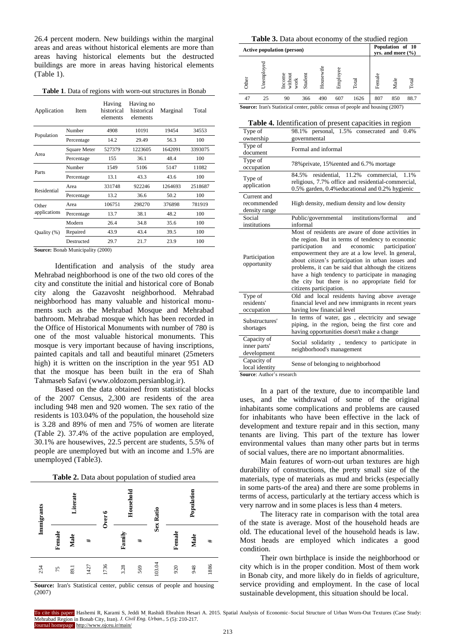26.4 percent modern. New buildings within the marginal areas and areas without historical elements are more than areas having historical elements but the destructed buildings are more in areas having historical elements (Table 1).

**Table 1**. Data of regions with worn-out structures in Bonab

| Application  | <b>Item</b>  | Having<br>historical<br>elements | Having no<br>historical<br>elements | Marginal | Total   |
|--------------|--------------|----------------------------------|-------------------------------------|----------|---------|
| Population   | Number       | 4908                             | 10191                               | 19454    | 34553   |
|              | Percentage   | 14.2                             | 29.49                               | 56.3     | 100     |
| Area         | Square Meter | 527379                           | 1223605                             | 1642091  | 3393075 |
|              | Percentage   | 155                              | 36.1                                | 48.4     | 100     |
| Parts        | Number       | 1549                             | 5106                                | 5147     | 11082   |
|              | Percentage   | 13.1                             | 43.3                                | 43.6     | 100     |
| Residential  | Area         | 331748                           | 922246                              | 1264693  | 2518687 |
|              | Percentage   | 13.2                             | 36.6                                | 50.2     | 100     |
| Other        | Area         | 106751                           | 298270                              | 376898   | 781919  |
| applications | Percentage   | 13.7                             | 38.1                                | 48.2     | 100     |
|              | Modern       | 26.4                             | 34.8                                | 35.6     | 100     |
| Quality (%)  | Repaired     | 43.9                             | 43.4                                | 39.5     | 100     |
|              | Destructed   | 29.7                             | 21.7                                | 23.9     | 100     |

**Source:** Bonab Municipality (2000)

Identification and analysis of the study area Mehrabad neighborhood is one of the two old cores of the city and constitute the initial and historical core of Bonab city along the Gazavosht neighborhood. Mehrabad neighborhood has many valuable and historical monuments such as the Mehrabad Mosque and Mehrabad bathroom. Mehrabad mosque which has been recorded in the Office of Historical Monuments with number of 780 is one of the most valuable historical monuments. This mosque is very important because of having inscriptions, painted capitals and tall and beautiful minaret (25meters high) it is written on the inscription in the year 951 AD that the mosque has been built in the era of Shah Tahmaseb Safavi [\(www.oldozom.persianblog.ir\)](http://www.oldozom.persianblog.ir/).

Based on the data obtained from statistical blocks of the 2007 Census, 2,300 are residents of the area including 948 men and 920 women. The sex ratio of the residents is 103.04% of the population, the household size is 3.28 and 89% of men and 75% of women are literate (Table 2). 37.4% of the active population are employed, 30.1% are housewives, 22.5 percent are students, 5.5% of people are unemployed but with an income and 1.5% are unemployed (Table3).





**Source:** Iran's Statistical center, public census of people and housing (2007)

| <b>Table 3.</b> Data about economy of the studied region                         |                                                                                      |                                                                                                               |     |           |          |       |        |      |       |
|----------------------------------------------------------------------------------|--------------------------------------------------------------------------------------|---------------------------------------------------------------------------------------------------------------|-----|-----------|----------|-------|--------|------|-------|
| Population of 10<br><b>Active population (person)</b><br>$vrs.$ and more $(\% )$ |                                                                                      |                                                                                                               |     |           |          |       |        |      |       |
| Other                                                                            | Unemploye                                                                            | $\begin{array}{l} \text{Income}\\ \text{without}\\ \text{work}\\ \text{Student}\\ \text{Student} \end{array}$ |     | Housewife | Employee | Total | Female | Male | Total |
| 47                                                                               | 25                                                                                   | 90                                                                                                            | 366 | 490       | 607      | 1626  | 807    | 850  | 88.7  |
|                                                                                  | <b>Source:</b> Iran's Statistical center, public census of people and housing (2007) |                                                                                                               |     |           |          |       |        |      |       |

#### **Table 4.** Identification of present capacities in region

|                                                           | <b>Table 4.</b> Identification of present capacities in region                                                                                                                                                                                                                                                                                                                                                                                              |
|-----------------------------------------------------------|-------------------------------------------------------------------------------------------------------------------------------------------------------------------------------------------------------------------------------------------------------------------------------------------------------------------------------------------------------------------------------------------------------------------------------------------------------------|
| Type of<br>ownership                                      | 98.1% personal, 1.5% consecrated and 0.4%<br>governmental                                                                                                                                                                                                                                                                                                                                                                                                   |
| Type of<br>document                                       | Formal and informal                                                                                                                                                                                                                                                                                                                                                                                                                                         |
| Type of<br>occupation                                     | 78% private, 15% rented and 6.7% mortage                                                                                                                                                                                                                                                                                                                                                                                                                    |
| Type of<br>application                                    | residential.<br>11.2%<br>1.1%<br>84.5%<br>commercial,<br>religious, 7.7% office and residential-commercial,<br>0.5% garden, 0.4% educational and 0.2% hygienic                                                                                                                                                                                                                                                                                              |
| Current and<br>recommended<br>density range               | High density, medium density and low density                                                                                                                                                                                                                                                                                                                                                                                                                |
| Social<br>institutions                                    | institutions/formal<br>Public/governmental<br>and<br>informal                                                                                                                                                                                                                                                                                                                                                                                               |
| Participation<br>opportunity                              | Most of residents are aware of done activities in<br>the region. But in terms of tendency to economic<br>economic<br>participation<br>and<br>participation'<br>empowerment they are at a low level. In general,<br>about citizen's participation in urban issues and<br>problems, it can be said that although the citizens<br>have a high tendency to participate in managing<br>the city but there is no appropriate field for<br>citizens participation. |
| Type of<br>residents'<br>occupation                       | Old and local residents having above average<br>financial level and new immigrants in recent years<br>having low financial level                                                                                                                                                                                                                                                                                                                            |
| Substructures'<br>shortages                               | In terms of water, gas, electricity and sewage<br>piping, in the region, being the first core and<br>having opportunities doesn't make a change                                                                                                                                                                                                                                                                                                             |
| Capacity of<br>inner parts'<br>development                | Social solidarity, tendency to participate in<br>neighborhood's management                                                                                                                                                                                                                                                                                                                                                                                  |
| Capacity of<br>local identity<br>Course Author's research | Sense of belonging to neighborhood                                                                                                                                                                                                                                                                                                                                                                                                                          |

**Source**: Author's research

In a part of the texture, due to incompatible land uses, and the withdrawal of some of the original inhabitants some complications and problems are caused for inhabitants who have been effective in the lack of development and texture repair and in this section, many tenants are living. This part of the texture has lower environmental values than many other parts but in terms of social values, there are no important abnormalities.

Main features of worn-out urban textures are high durability of constructions, the pretty small size of the materials, type of materials as mud and bricks (especially in some parts-of the area) and there are some problems in terms of access, particularly at the tertiary access which is very narrow and in some places is less than 4 meters.

The literacy rate in comparison with the total area of the state is average. Most of the household heads are old. The educational level of the household heads is law. Most heads are employed which indicates a good condition.

Their own birthplace is inside the neighborhood or city which is in the proper condition. Most of them work in Bonab city, and more likely do in fields of agriculture, service providing and employment. In the case of local sustainable development, this situation should be local.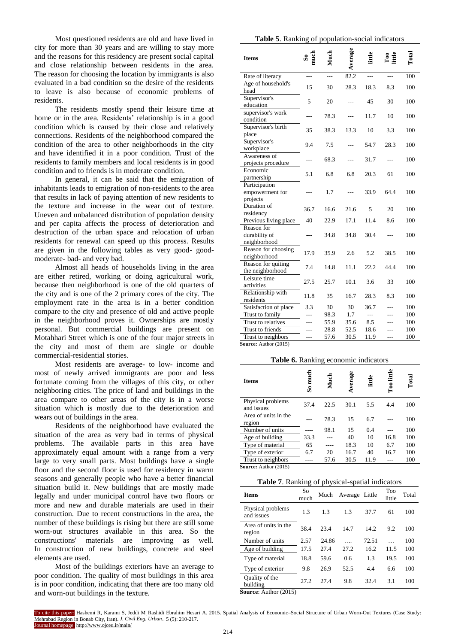Most questioned residents are old and have lived in city for more than 30 years and are willing to stay more and the reasons for this residency are present social capital and close relationship between residents in the area. The reason for choosing the location by immigrants is also evaluated in a bad condition so the desire of the residents to leave is also because of economic problems of residents.

The residents mostly spend their leisure time at home or in the area. Residents' relationship is in a good condition which is caused by their close and relatively connections. Residents of the neighborhood compared the condition of the area to other neighborhoods in the city and have identified it in a poor condition. Trust of the residents to family members and local residents is in good condition and to friends is in moderate condition.

In general, it can be said that the emigration of inhabitants leads to emigration of non-residents to the area that results in lack of paying attention of new residents to the texture and increase in the wear out of texture. Uneven and unbalanced distribution of population density and per capita affects the process of deterioration and destruction of the urban space and relocation of urban residents for renewal can speed up this process. Results are given in the following tables as very good- goodmoderate- bad- and very bad.

Almost all heads of households living in the area are either retired, working or doing agricultural work, because then neighborhood is one of the old quarters of the city and is one of the 2 primary cores of the city. The employment rate in the area is in a better condition compare to the city and presence of old and active people in the neighborhood proves it. Ownerships are mostly personal. But commercial buildings are present on Motahhari Street which is one of the four major streets in the city and most of them are single or double commercial-residential stories.

Most residents are average- to low- income and most of newly arrived immigrants are poor and less fortunate coming from the villages of this city, or other neighboring cities. The price of land and buildings in the area compare to other areas of the city is in a worse situation which is mostly due to the deterioration and wears out of buildings in the area.

Residents of the neighborhood have evaluated the situation of the area as very bad in terms of physical problems. The available parts in this area have approximately equal amount with a range from a very large to very small parts. Most buildings have a single floor and the second floor is used for residency in warm seasons and generally people who have a better financial situation build it. New buildings that are mostly made legally and under municipal control have two floors or more and new and durable materials are used in their construction. Due to recent constructions in the area, the number of these buildings is rising but there are still some worn-out structures available in this area. So the constructions' materials are improving as well. In construction of new buildings, concrete and steel elements are used.

Most of the buildings exteriors have an average to poor condition. The quality of most buildings in this area is in poor condition, indicating that there are too many old and worn-out buildings in the texture.

|  |  |  |  |  | Table 5. Ranking of population-social indicators |
|--|--|--|--|--|--------------------------------------------------|
|--|--|--|--|--|--------------------------------------------------|

|                                                |            |                | verage | little         | $\frac{1}{2}$ |       |
|------------------------------------------------|------------|----------------|--------|----------------|---------------|-------|
| <b>Items</b>                                   | so<br>much | Much           |        |                |               | Total |
| Rate of literacy                               | ---        | $\overline{a}$ | 82.2   | $\overline{a}$ | $---$         | 100   |
| Age of household's                             | 15         | 30             | 28.3   | 18.3           | 8.3           | 100   |
| head                                           |            |                |        |                |               |       |
| Supervisor's                                   | 5          | 20             |        | 45             | 30            | 100   |
| education                                      |            |                |        |                |               |       |
| supervisor's work                              | ---        | 78.3           |        | 11.7           | 10            | 100   |
| condition                                      |            |                |        |                |               |       |
| Supervisor's birth                             | 35         | 38.3           | 13.3   | 10             | 3.3           | 100   |
| place                                          |            |                |        |                |               |       |
| Supervisor's                                   | 9.4        | 7.5            |        | 54.7           | 28.3          | 100   |
| workplace                                      |            |                |        |                |               |       |
| Awareness of                                   |            | 68.3           |        | 31.7           |               | 100   |
| projects procedure                             |            |                |        |                |               |       |
| Economic                                       | 5.1        | 6.8            | 6.8    | 20.3           | 61            | 100   |
| partnership<br>Participation                   |            |                |        |                |               |       |
| empowerment for                                |            | 1.7            |        | 33.9           | 64.4          | 100   |
| projects                                       |            |                |        |                |               |       |
| Duration of                                    |            |                |        |                |               |       |
| residency                                      | 36.7       | 16.6           | 21.6   | 5              | 20            | 100   |
| Previous living place                          | 40         | 22.9           | 17.1   | 11.4           | 8.6           | 100   |
| Reason for                                     |            |                |        |                |               |       |
| durability of                                  |            | 34.8           | 34.8   | 30.4           |               | 100   |
| neighborhood                                   |            |                |        |                |               |       |
| Reason for choosing                            |            |                |        |                | 38.5          |       |
| neighborhood                                   | 17.9       | 35.9           | 2.6    | 5.2            |               | 100   |
| Reason for quiting                             | 7.4        | 14.8           | 11.1   | 22.2           | 44.4          | 100   |
| the neighborhood                               |            |                |        |                |               |       |
| Leisure time                                   | 27.5       | 25.7           | 10.1   | 3.6            | 33            | 100   |
| activities                                     |            |                |        |                |               |       |
| Relationship with                              | 11.8       | 35             | 16.7   | 28.3           | 8.3           | 100   |
| residents                                      |            |                |        |                |               |       |
| Satisfaction of place                          | 3.3        | 30             | 30     | 36.7           | ---           | 100   |
| Trust to family                                |            | 98.3           | 1.7    | $\overline{a}$ | .             | 100   |
| Trust to relatives                             | ---        | 55.9           | 35.6   | 8.5            |               | 100   |
| Trust to friends                               |            | 28.8           | 52.5   | 18.6           |               | 100   |
| Trust to neighbors<br>$G$ ource: Author (2015) | ---        | 57.6           | 30.5   | 11.9           | ---           | 100   |

**Source:** Author (2015)

#### **Table 6.** Ranking economic indicators

| <b>Items</b>                    | mud<br>S. | g    | Average | little | ittle<br>$\mathbb{E}^{\infty}$ | $\Gamma$ otal |
|---------------------------------|-----------|------|---------|--------|--------------------------------|---------------|
| Physical problems<br>and issues | 37.4      | 22.5 | 30.1    | 5.5    | 4.4                            | 100           |
| Area of units in the<br>region  |           | 78.3 | 15      | 6.7    |                                | 100           |
| Number of units                 |           | 98.1 | 15      | 0.4    |                                | 100           |
| Age of building                 | 33.3      |      | 40      | 10     | 16.8                           | 100           |
| Type of material                | 65        |      | 18.3    | 10     | 6.7                            | 100           |
| Type of exterior                | 6.7       | 20   | 16.7    | 40     | 16.7                           | 100           |
| Trust to neighbors              |           | 57.6 | 30.5    | 11.9   |                                | 100           |
| $C = 1.1$ $(0.15)$              |           |      |         |        |                                |               |

**Source:** Author (2015)

#### **Table 7**. Ranking of physical-spatial indicators

| <b>Items</b>                                               | So<br>much | Much  | Average Little |       | <b>Too</b><br>little | Total |
|------------------------------------------------------------|------------|-------|----------------|-------|----------------------|-------|
| Physical problems<br>and issues                            | 1.3        | 1.3   | 1.3            | 37.7  | 61                   | 100   |
| Area of units in the<br>region                             | 38.4       | 23.4  | 14.7           | 14.2  | 9.2                  | 100   |
| Number of units                                            | 2.57       | 24.86 |                | 72.51 |                      | 100   |
| Age of building                                            | 17.5       | 27.4  | 27.2           | 16.2  | 11.5                 | 100   |
| Type of material                                           | 18.8       | 59.6  | 0.6            | 1.3   | 19.5                 | 100   |
| Type of exterior                                           | 9.8        | 26.9  | 52.5           | 4.4   | 6.6                  | 100   |
| Quality of the<br>building<br>$\cdots$<br>$\sim$<br>(0.01) | 27.2       | 27.4  | 9.8            | 32.4  | 3.1                  | 100   |

**Source**: Author (2015)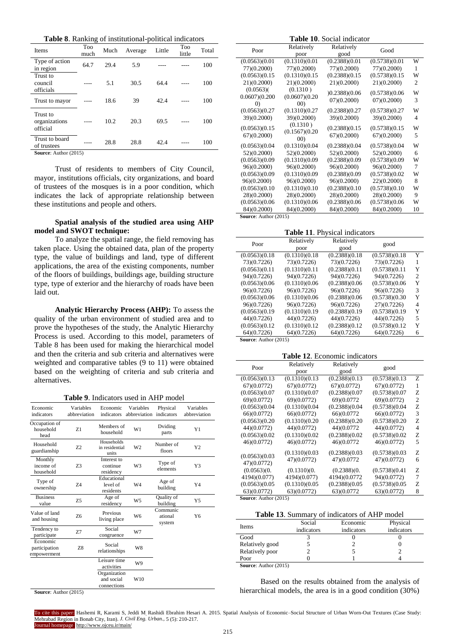**Table 8**. Ranking of institutional-political indicators

| Items                                                       | Too<br>much | Much | Average | Little | Too<br>little | Total |
|-------------------------------------------------------------|-------------|------|---------|--------|---------------|-------|
| Type of action<br>in region                                 | 64.7        | 29.4 | 5.9     |        |               | 100   |
| Trust to<br>council<br>officials                            |             | 5.1  | 30.5    | 64.4   |               | 100   |
| Trust to mayor                                              |             | 18.6 | 39      | 42.4   |               | 100   |
| Trust to<br>organizations<br>official                       |             | 10.2 | 20.3    | 69.5   |               | 100   |
| Trust to board<br>of trustees<br>$\alpha$ $\alpha$ $\alpha$ |             | 28.8 | 28.8    | 42.4   |               | 100   |

**Source**: Author (2015)

Trust of residents to members of City Council, mayor, institutions officials, city organizations, and board of trustees of the mosques is in a poor condition, which indicates the lack of appropriate relationship between these institutions and people and others.

#### **Spatial analysis of the studied area using AHP model and SWOT technique:**

To analyze the spatial range, the field removing has taken place. Using the obtained data, plan of the property type, the value of buildings and land, type of different applications, the area of the existing components, number of the floors of buildings, buildings age, building structure type, type of exterior and the hierarchy of roads have been laid out.

**Analytic Hierarchy Process (AHP):** To assess the quality of the urban environment of studied area and to prove the hypotheses of the study, the Analytic Hierarchy Process is used. According to this model, parameters of Table 8 has been used for making the hierarchical model and then the criteria and sub criteria and alternatives were weighted and comparative tables (9 to 11) were obtained based on the weighting of criteria and sub criteria and alternatives.

**Table 9**. Indicators used in AHP model

|                                          |                           | 910 - HRTCHOTS GSCG III I 1111            |                           |                               |                           |
|------------------------------------------|---------------------------|-------------------------------------------|---------------------------|-------------------------------|---------------------------|
| Economic<br>indicators                   | Variables<br>abbreviation | Economic<br>indicators                    | Variables<br>abbreviation | Physical<br>indicators        | Variables<br>abbreviation |
| Occupation of<br>household<br>head       | Z1                        | Members of<br>household                   | W1                        | Dviding<br>parts              | Y1                        |
| Household<br>guardianship                | 72                        | Households<br>in residential<br>units     | W <sub>2</sub>            | Number of<br>floors           | Y <sub>2</sub>            |
| Monthly<br>income of<br>household        | Z3                        | Interest to<br>continue<br>residency      | W <sub>3</sub>            | Type of<br>elements           | Y3                        |
| Type of<br>ownership                     | 74                        | Educational<br>level of<br>residents      | W4                        | Age of<br>building            | Y4                        |
| <b>Business</b><br>value                 | Z5                        | Age of<br>residency                       | W <sub>5</sub>            | Quality of<br>building        | Y5                        |
| Value of land<br>and housing             | Z <sub>6</sub>            | Previous<br>living place                  | W <sub>6</sub>            | Communic<br>ational<br>system | Y6                        |
| Tendency to<br>participate               | 7.7                       | Social<br>congruence                      | W7                        |                               |                           |
| Economic<br>participation<br>empowerment | Z8                        | Social<br>relationships                   | W8                        |                               |                           |
|                                          |                           | Leisure time<br>activities                | W9                        |                               |                           |
|                                          |                           | Organization<br>and social<br>connections | W10                       |                               |                           |

**Table 10**. Social indicator Relatively Good good Relatively poor Poor W 1  $(0.5738)(0.01)$  $(77)(0.2000)$  $(0.2388)(0.01)$  $(77)(0.2000)$  $(0.1310)(0.01)$  $(77)(0.2000)$  $(0.0563)(0.01)$  $(77)(0.2000)$ W  $\mathcal{L}$  $(0.5738)(0.15)$ 21)(0.2000)  $(0.2388)(0.15)$ 21)(0.2000)  $(0.1310)(0.15)$ 21)(0.2000)  $(0.0563)(0.15)$ 21)(0.2000) W 3  $(0.5738)(0.06)$ 07)(0.2000) (0.06)(0.2388) 07)(0.2000)  $(0.1310)$  $(0.0607)(0.20)$ 00)  $(0.0563)$  $0.0607(0.200)$  $\overline{0}$ W 4  $(0.5738)(0.27)$ 39)(0.2000) (0.2388)(0.27 39)(0.2000)  $(0.1310)(0.27)$ 39()0.2000)  $(0.0563)(0.27)$ 39)(0.2000) W 5  $(0.5738)(0.15)$ 67()0.2000)  $(0.2388)(0.15$ 67()0.2000)  $(0.1310)$  $(0.1567)(0.20)$ 00)  $(0.0563)(0.15)$ 67()0.2000) W 6  $(0.5738)(0.04)$ 52)(0.2000)  $(0.2388)(0.04)$ 52)(0.2000)  $(0.1310)(0.04)$ 52 $(0.2000)$  $(0.0563)(0.04)$ 52)(0.2000) W 7  $(0.5738)(0.09)$ 96()0.2000)  $(0.2388)(0.09)$ 96()0.2000)  $(0.1310)(0.09)$ 96()0.2000)  $(0.0563)(0.09)$ 96()0.2000) W 8  $(0.5738)(0.02)$  $22(0.2000)$  $(0.2388)(0.09)$ 96)(0.2000)  $(0.1310)(0.09)$ 96)(0.2000)  $(0.0563)(0.09)$ 96)(0.2000) W 9  $(0.5738)(0.10)$ 28()0.2000)  $(0.2388)(0.10)$ 28()0.2000)  $(0.1310)(0.10)$ 28()0.2000)  $(0.0563)(0.10)$ 28()0.2000) W 10  $(0.5738)(0.06)$ 84)(0.2000) (0.2388)(0.06 84)(0.2000)  $(0.1310)(0.06$ 84)(0.2000) (0.0563)(0.06 84)(0.2000)

**Source**: Author (2015)

**Table 11**. Physical indicators

| Poor           | Relatively     | Relatively     | good           |                             |
|----------------|----------------|----------------|----------------|-----------------------------|
|                | poor           | good           |                |                             |
| (0.0563)(0.18) | (0.1310)(0.18) | (0.2388)(0.18) | (0.5738)(0.18) | Y                           |
| 73)(0.7226)    | 73)(0.7226)    | 73)(0.7226)    | 73)(0.7226)    |                             |
| (0.0563)(0.11) | (0.1310)(0.11) | (0.2388)(0.11) | (0.5738)(0.11) | Y                           |
| 94)(0.7226)    | 94)(0.7226)    | 94)(0.7226)    | 94)(0.7226)    | $\mathcal{D}_{\mathcal{L}}$ |
| (0.0563)(0.06) | (0.1310)(0.06) | (0.2388)(0.06) | (0.5738)(0.06) | Y                           |
| 96)(0.7226)    | 96)(0.7226)    | 96)(0.7226)    | 96)(0.7226)    | 3                           |
| (0.0563)(0.06) | (0.1310)(0.06) | (0.2388)(0.06) | (0.5738)(0.30) | Y                           |
| 96)(0.7226)    | 96)(0.7226)    | 96)(0.7226)    | 27)(0.7226)    | 4                           |
| (0.0563)(0.19) | (0.1310)(0.19) | (0.2388)(0.19) | (0.5738)(0.19) | Y                           |
| 44)(0.7226)    | 44)(0.7226)    | 44)(0.7226)    | 44)(0.7226)    | 5                           |
| (0.0563)(0.12) | (0.1310)(0.12) | (0.2388)(0.12) | (0.5738)(0.12) | Y                           |
| 64)(0.7226)    | 64)(0.7226)    | 64)(0.7226)    | 64)(0.7226)    | 6                           |

**Source**: Author (2015)

**Table 12**. Economic indicators

| Poor           | Relatively     | Relatively     | good           |   |
|----------------|----------------|----------------|----------------|---|
|                | poor           | good           |                |   |
| (0.0563)(0.13) | (0.1310)(0.13) | (0.2388)(0.13) | (0.5738)(0.13) | Z |
| 67)(0.0772)    | 67)(0.0772)    | 67)(0.0772)    | 67)(0.0772)    | 1 |
| (0.0563)(0.07) | (0.1310)(0.07) | (0.2388)(0.07) | (0.5738)(0.07) | Z |
| 69)(0.0772)    | 69)(0.0772)    | 69)(0.0772     | 69)(0.0772)    | 2 |
| (0.0563)(0.04) | (0.1310)(0.04) | (0.2388)(0.04) | (0.5738)(0.04) | Z |
| 66)(0.0772)    | 66)(0.0772)    | 66)(0.0772     | 66)(0.0772)    | 3 |
| (0.0563)(0.20) | (0.1310)(0.20) | (0.2388)(0.20) | (0.5738)(0.20) | Z |
| 44)(0.0772)    | 44)(0.0772)    | 44)(0.0772     | 44)(0.0772)    | 4 |
| (0.0563)(0.02) | (0.1310)(0.02) | (0.2388)(0.02) | (0.5738)(0.02) | Z |
| 46)(0.0772)    | 46)(0.0772)    | 46)(0.0772     | 46)(0.0772)    | 5 |
|                | (0.1310)(0.03) | (0.2388)(0.03) | (0.5738)(0.03) | Z |
| (0.0563)(0.03) | 47)(0.0772)    | 47)(0.0772     | 47)(0.0772)    | 6 |
| 47)(0.0772)    |                |                |                |   |
| (0.0563)(0.    | (0.1310)(0.    | (0.2388)(0.    | (0.5738)(0.41) | Z |
| 4194)(0.077)   | 4194)(0.077)   | 4194)(0.0772   | 94)(0.0772)    | 7 |
| (0.0563)(0.05) | (0.1310)(0.05) | (0.2388)(0.05) | (0.5738)(0.05) | Z |
| 63)(0.0772)    | 63)(0.0772)    | 63)(0.0772     | 63)(0.0772)    | 8 |

**Source**: Author (2015)

#### **Table 13**. Summary of indicators of AHP model

| Items           | Social     | Economic   | Physical   |
|-----------------|------------|------------|------------|
|                 | indicators | indicators | indicators |
| Good            |            |            |            |
| Relatively good |            |            |            |
| Relatively poor |            |            |            |
| Poor            |            |            |            |

**Source**: Author (2015)

Based on the results obtained from the analysis of hierarchical models, the area is in a good condition (30%)

**Source**: Author (2015)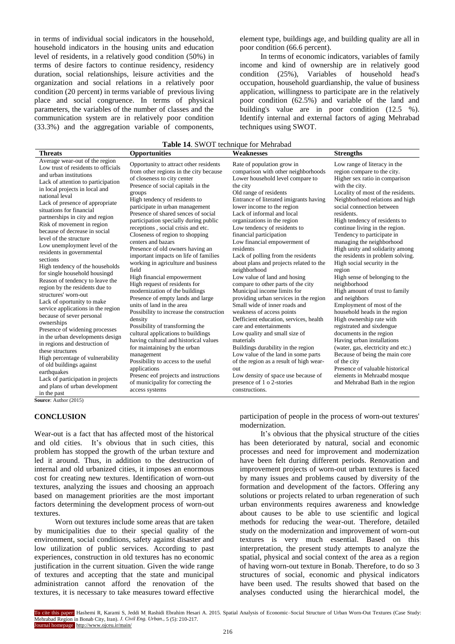in terms of individual social indicators in the household, household indicators in the housing units and education level of residents, in a relatively good condition (50%) in terms of desire factors to continue residency, residency duration, social relationships, leisure activities and the organization and social relations in a relatively poor condition (20 percent) in terms variable of previous living place and social congruence. In terms of physical parameters, the variables of the number of classes and the communication system are in relatively poor condition (33.3%) and the aggregation variable of components, element type, buildings age, and building quality are all in poor condition (66.6 percent).

In terms of economic indicators, variables of family income and kind of ownership are in relatively good condition (25%), Variables of household head's occupation, household guardianship, the value of business application, willingness to participate are in the relatively poor condition (62.5%) and variable of the land and building's value are in poor condition (12.5 %). Identify internal and external factors of aging Mehrabad techniques using SWOT.

| Table 14. SWOT technique for Mehrabad |  |  |  |  |
|---------------------------------------|--|--|--|--|
|---------------------------------------|--|--|--|--|

| <b>Table 14.</b> SWOT technique for Mehrabad                                                                                                                                                                                                                                                                                                                                                                                                                                                                                                                                                                                                                                                                                                                                                                                                                                                                                                                                                                                                                            |                                                                                                                                                                                                                                                                                                                                                                                                                                                                                                                                                                                                                                                                                                                                                                                                                                                                                                                                                                                                                                                                                                   |                                                                                                                                                                                                                                                                                                                                                                                                                                                                                                                                                                                                                                                                                                                                                                                                                                                                                                                                                                                                                                                |                                                                                                                                                                                                                                                                                                                                                                                                                                                                                                                                                                                                                                                                                                                                                                                                                                                                                                                                                                     |  |  |  |
|-------------------------------------------------------------------------------------------------------------------------------------------------------------------------------------------------------------------------------------------------------------------------------------------------------------------------------------------------------------------------------------------------------------------------------------------------------------------------------------------------------------------------------------------------------------------------------------------------------------------------------------------------------------------------------------------------------------------------------------------------------------------------------------------------------------------------------------------------------------------------------------------------------------------------------------------------------------------------------------------------------------------------------------------------------------------------|---------------------------------------------------------------------------------------------------------------------------------------------------------------------------------------------------------------------------------------------------------------------------------------------------------------------------------------------------------------------------------------------------------------------------------------------------------------------------------------------------------------------------------------------------------------------------------------------------------------------------------------------------------------------------------------------------------------------------------------------------------------------------------------------------------------------------------------------------------------------------------------------------------------------------------------------------------------------------------------------------------------------------------------------------------------------------------------------------|------------------------------------------------------------------------------------------------------------------------------------------------------------------------------------------------------------------------------------------------------------------------------------------------------------------------------------------------------------------------------------------------------------------------------------------------------------------------------------------------------------------------------------------------------------------------------------------------------------------------------------------------------------------------------------------------------------------------------------------------------------------------------------------------------------------------------------------------------------------------------------------------------------------------------------------------------------------------------------------------------------------------------------------------|---------------------------------------------------------------------------------------------------------------------------------------------------------------------------------------------------------------------------------------------------------------------------------------------------------------------------------------------------------------------------------------------------------------------------------------------------------------------------------------------------------------------------------------------------------------------------------------------------------------------------------------------------------------------------------------------------------------------------------------------------------------------------------------------------------------------------------------------------------------------------------------------------------------------------------------------------------------------|--|--|--|
| <b>Threats</b>                                                                                                                                                                                                                                                                                                                                                                                                                                                                                                                                                                                                                                                                                                                                                                                                                                                                                                                                                                                                                                                          | <b>Opportunities</b>                                                                                                                                                                                                                                                                                                                                                                                                                                                                                                                                                                                                                                                                                                                                                                                                                                                                                                                                                                                                                                                                              | Weaknesses                                                                                                                                                                                                                                                                                                                                                                                                                                                                                                                                                                                                                                                                                                                                                                                                                                                                                                                                                                                                                                     | <b>Strengths</b>                                                                                                                                                                                                                                                                                                                                                                                                                                                                                                                                                                                                                                                                                                                                                                                                                                                                                                                                                    |  |  |  |
| Average wear-out of the region<br>Low trust of residents to officials<br>and urban institutions<br>Lack of attention to participation<br>in local projects in local and<br>national leval<br>Lack of presence of appropriate<br>situations for financial<br>partnerships in city and region<br>Risk of movement in region<br>because of decrease in social<br>level of the structure<br>Low unemployment level of the<br>residents in governmental<br>sections<br>High tendency of the households<br>for single household housingd<br>Reason of tendency to leave the<br>region by the residents due to<br>structures' worn-out<br>Lack of oportunity to make<br>service applications in the region<br>because of sever personal<br>ownerships<br>Presence of widening processes<br>in the urban developments design<br>in regions and destruction of<br>these structures<br>High percentage of vulnerability<br>of old buildings against<br>earthquakes<br>Lack of participation in projects<br>and plans of urban development<br>in the past<br>Source: Author (2015) | Opportunity to attract other residents<br>from other regions in the city because<br>of closeness to city center<br>Presence of social capitals in the<br>groups<br>High tendency of residents to<br>participate in urban management<br>Presence of shared sences of social<br>participation specially during public<br>receptions, social crisis and etc.<br>Closeness of region to shopping<br>centers and bazars<br>Presence of old owners having an<br>important impacts on life of families<br>working in agriculture and business<br>field<br>High financial empowerment<br>High request of residents for<br>modernization of the buildings<br>Presence of empty lands and large<br>units of land in the area<br>Possibility to increase the construction<br>density<br>Possibility of transforming the<br>cultural applications to buildings<br>having cultural and historical values<br>for maintaining by the urban<br>management<br>Possibility to access to the useful<br>applications<br>Presence of projects and instructions<br>of municipality for correcting the<br>access systems | Rate of population grow in<br>comparison with other neighborhoods<br>Lower household level compare to<br>the city<br>Old range of residents<br>Entrance of literated imigrants having<br>lower income to the region<br>Lack of informal and local<br>organizations in the region<br>Low tendency of residents to<br>financial participation<br>Low financial empowerment of<br>residents<br>Lack of polling from the residents<br>about plans and projects related to the<br>neighborhood<br>Low value of land and hosing<br>compare to other parts of the city<br>Municipal income limits for<br>providing urban services in the region<br>Small wide of inner roads and<br>weakness of access points<br>Defficient education, services, health<br>care and entertainments<br>Low quality and small size of<br>materials<br>Buildings durability in the region<br>Low value of the land in some parts<br>of the region as a result of high wear-<br>out<br>Low density of space use because of<br>presence of 1 o 2-stories<br>constructions. | Low range of literacy in the<br>region compare to the city.<br>Higher sex ratio in comparison<br>with the city.<br>Locality of most of the residents.<br>Neighborhood relations and high<br>social connection between<br>residents.<br>High tendency of residents to<br>continue living in the region.<br>Tendency to participate in<br>managing the neighborhood<br>High unity and solidarity among<br>the residents in problem solving.<br>High social security in the<br>region<br>High sense of belonging to the<br>neighborhood<br>High amount of trust to family<br>and neighbors<br>Employment of most of the<br>household heads in the region<br>High ownership rate with<br>registrated and sixdengue<br>documents in the region<br>Having urban installations<br>(water, gas, electricity and etc.)<br>Because of being the main core<br>of the city<br>Presence of valuable historical<br>elements in Mehraabd mosque<br>and Mehrabad Bath in the region |  |  |  |

# **CONCLUSION**

Wear-out is a fact that has affected most of the historical and old cities. It's obvious that in such cities, this problem has stopped the growth of the urban texture and led it around. Thus, in addition to the destruction of internal and old urbanized cities, it imposes an enormous cost for creating new textures. Identification of worn-out textures, analyzing the issues and choosing an approach based on management priorities are the most important factors determining the development process of worn-out textures.

Worn out textures include some areas that are taken by municipalities due to their special quality of the environment, social conditions, safety against disaster and low utilization of public services. According to past experiences, construction in old textures has no economic justification in the current situation. Given the wide range of textures and accepting that the state and municipal administration cannot afford the renovation of the textures, it is necessary to take measures toward effective

participation of people in the process of worn-out textures' modernization.

It's obvious that the physical structure of the cities has been deteriorated by natural, social and economic processes and need for improvement and modernization have been felt during different periods. Renovation and improvement projects of worn-out urban textures is faced by many issues and problems caused by diversity of the formation and development of the factors. Offering any solutions or projects related to urban regeneration of such urban environments requires awareness and knowledge about causes to be able to use scientific and logical methods for reducing the wear-out. Therefore, detailed study on the modernization and improvement of worn-out textures is very much essential. Based on this interpretation, the present study attempts to analyze the spatial, physical and social context of the area as a region of having worn-out texture in Bonab. Therefore, to do so 3 structures of social, economic and physical indicators have been used. The results showed that based on the analyses conducted using the hierarchical model, the